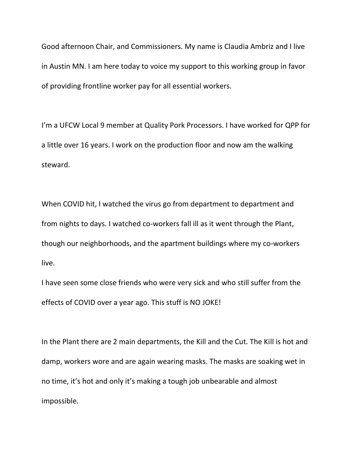Good afternoon Chair, and Commissioners. My name is Claudia Ambriz and I live in Austin MN. I am here today to voice my support to this working group in favor of providing frontline worker pay for all essential workers.

I'm a UFCW Local 9 member at Quality Pork Processors. I have worked for QPP for a little over 16 years. I work on the production floor and now am the walking steward.

When COVID hit, I watched the virus go from department to department and from nights to days. I watched co-workers fall ill as it went through the Plant, though our neighborhoods, and the apartment buildings where my co-workers live.

I have seen some close friends who were very sick and who still suffer from the effects of COVID over a year ago. This stuff is NO JOKE!

In the Plant there are 2 main departments, the Kill and the Cut. The Kill is hot and damp, workers wore and are again wearing masks. The masks are soaking wet in no time, it's hot and only it's making a tough job unbearable and almost impossible.